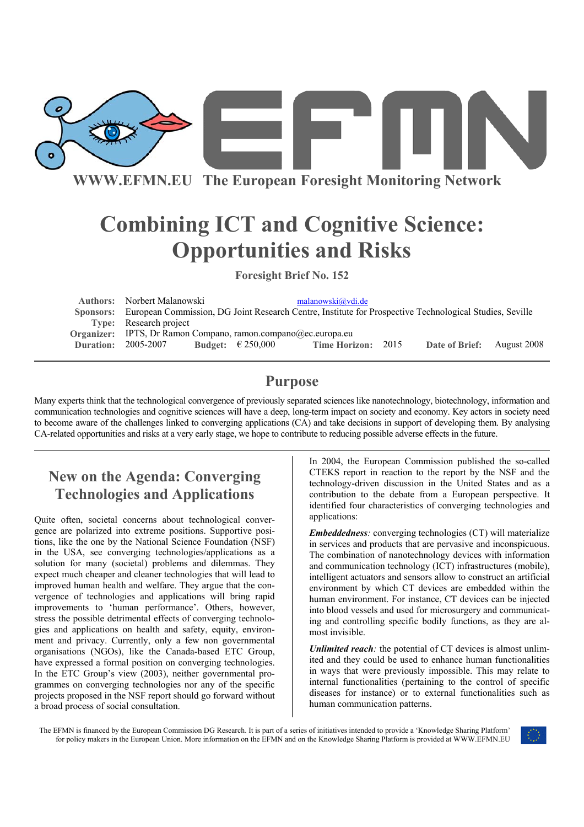

**WWW.EFMN.EU The European Foresight Monitoring Network**

# **Combining ICT and Cognitive Science: Opportunities and Risks**

**Foresight Brief No. 152** 

| Authors: Norbert Malanowski<br>Type: Research project<br>Organizer: IPTS, Dr Ramon Compano, ramon.compano@ec.europa.eu |                            | malanowski@vdi.de<br>Sponsors: European Commission, DG Joint Research Centre, Institute for Prospective Technological Studies, Seville |                            |  |
|------------------------------------------------------------------------------------------------------------------------|----------------------------|----------------------------------------------------------------------------------------------------------------------------------------|----------------------------|--|
| <b>Duration: 2005-2007</b>                                                                                             | Budget: $\epsilon$ 250,000 | Time Horizon: 2015                                                                                                                     | Date of Brief: August 2008 |  |

# **Purpose**

Many experts think that the technological convergence of previously separated sciences like nanotechnology, biotechnology, information and communication technologies and cognitive sciences will have a deep, long-term impact on society and economy. Key actors in society need to become aware of the challenges linked to converging applications (CA) and take decisions in support of developing them. By analysing CA-related opportunities and risks at a very early stage, we hope to contribute to reducing possible adverse effects in the future.

# **New on the Agenda: Converging Technologies and Applications**

Quite often, societal concerns about technological convergence are polarized into extreme positions. Supportive positions, like the one by the National Science Foundation (NSF) in the USA, see converging technologies/applications as a solution for many (societal) problems and dilemmas. They expect much cheaper and cleaner technologies that will lead to improved human health and welfare. They argue that the convergence of technologies and applications will bring rapid improvements to 'human performance'. Others, however, stress the possible detrimental effects of converging technologies and applications on health and safety, equity, environment and privacy. Currently, only a few non governmental organisations (NGOs), like the Canada-based ETC Group, have expressed a formal position on converging technologies. In the ETC Group's view (2003), neither governmental programmes on converging technologies nor any of the specific projects proposed in the NSF report should go forward without a broad process of social consultation.

In 2004, the European Commission published the so-called CTEKS report in reaction to the report by the NSF and the technology-driven discussion in the United States and as a contribution to the debate from a European perspective. It identified four characteristics of converging technologies and applications:

*Embeddedness:* converging technologies (CT) will materialize in services and products that are pervasive and inconspicuous. The combination of nanotechnology devices with information and communication technology (ICT) infrastructures (mobile), intelligent actuators and sensors allow to construct an artificial environment by which CT devices are embedded within the human environment. For instance, CT devices can be injected into blood vessels and used for microsurgery and communicating and controlling specific bodily functions, as they are almost invisible.

*Unlimited reach:* the potential of CT devices is almost unlimited and they could be used to enhance human functionalities in ways that were previously impossible. This may relate to internal functionalities (pertaining to the control of specific diseases for instance) or to external functionalities such as human communication patterns.

The EFMN is financed by the European Commission DG Research. It is part of a series of initiatives intended to provide a 'Knowledge Sharing Platform' for policy makers in the European Union. More information on the EFMN and on the Knowledge Sharing Platform is provided at WWW.EFMN.EU

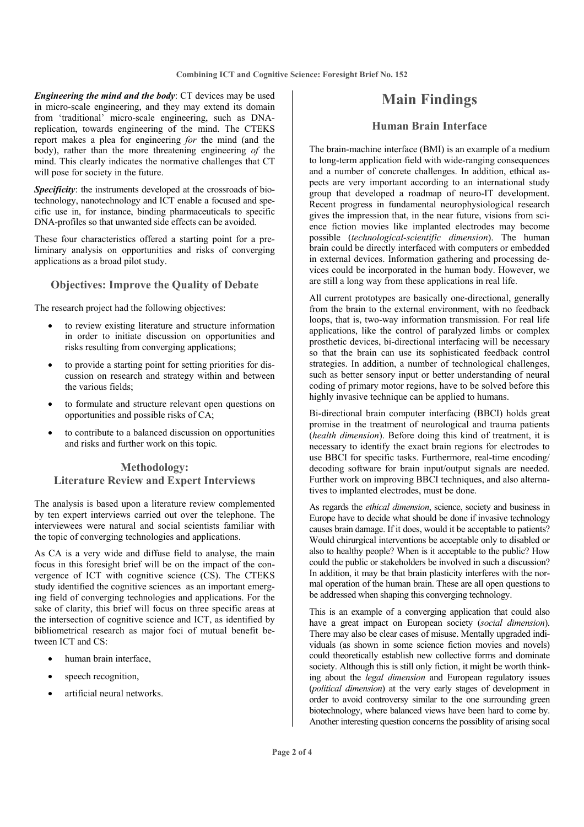*Engineering the mind and the body*: CT devices may be used in micro-scale engineering, and they may extend its domain from 'traditional' micro-scale engineering, such as DNAreplication, towards engineering of the mind. The CTEKS report makes a plea for engineering *for* the mind (and the body), rather than the more threatening engineering *of* the mind. This clearly indicates the normative challenges that CT will pose for society in the future.

*Specificity*: the instruments developed at the crossroads of biotechnology, nanotechnology and ICT enable a focused and specific use in, for instance, binding pharmaceuticals to specific DNA-profiles so that unwanted side effects can be avoided.

These four characteristics offered a starting point for a preliminary analysis on opportunities and risks of converging applications as a broad pilot study.

#### **Objectives: Improve the Quality of Debate**

The research project had the following objectives:

- to review existing literature and structure information in order to initiate discussion on opportunities and risks resulting from converging applications;
- to provide a starting point for setting priorities for discussion on research and strategy within and between the various fields;
- to formulate and structure relevant open questions on opportunities and possible risks of CA;
- to contribute to a balanced discussion on opportunities and risks and further work on this topic*.*

#### **Methodology: Literature Review and Expert Interviews**

The analysis is based upon a literature review complemented by ten expert interviews carried out over the telephone. The interviewees were natural and social scientists familiar with the topic of converging technologies and applications.

As CA is a very wide and diffuse field to analyse, the main focus in this foresight brief will be on the impact of the convergence of ICT with cognitive science (CS). The CTEKS study identified the cognitive sciences as an important emerging field of converging technologies and applications. For the sake of clarity, this brief will focus on three specific areas at the intersection of cognitive science and ICT, as identified by bibliometrical research as major foci of mutual benefit between ICT and CS<sup>-</sup>

- human brain interface,
- speech recognition,
- artificial neural networks.

### **Main Findings**

#### **Human Brain Interface**

The brain-machine interface (BMI) is an example of a medium to long-term application field with wide-ranging consequences and a number of concrete challenges. In addition, ethical aspects are very important according to an international study group that developed a roadmap of neuro-IT development. Recent progress in fundamental neurophysiological research gives the impression that, in the near future, visions from science fiction movies like implanted electrodes may become possible (*technological-scientific dimension*). The human brain could be directly interfaced with computers or embedded in external devices. Information gathering and processing devices could be incorporated in the human body. However, we are still a long way from these applications in real life.

All current prototypes are basically one-directional, generally from the brain to the external environment, with no feedback loops, that is, two-way information transmission. For real life applications, like the control of paralyzed limbs or complex prosthetic devices, bi-directional interfacing will be necessary so that the brain can use its sophisticated feedback control strategies. In addition, a number of technological challenges, such as better sensory input or better understanding of neural coding of primary motor regions, have to be solved before this highly invasive technique can be applied to humans.

Bi-directional brain computer interfacing (BBCI) holds great promise in the treatment of neurological and trauma patients (*health dimension*). Before doing this kind of treatment, it is necessary to identify the exact brain regions for electrodes to use BBCI for specific tasks. Furthermore, real-time encoding/ decoding software for brain input/output signals are needed. Further work on improving BBCI techniques, and also alternatives to implanted electrodes, must be done.

As regards the *ethical dimension*, science, society and business in Europe have to decide what should be done if invasive technology causes brain damage. If it does, would it be acceptable to patients? Would chirurgical interventions be acceptable only to disabled or also to healthy people? When is it acceptable to the public? How could the public or stakeholders be involved in such a discussion? In addition, it may be that brain plasticity interferes with the normal operation of the human brain. These are all open questions to be addressed when shaping this converging technology.

This is an example of a converging application that could also have a great impact on European society (*social dimension*). There may also be clear cases of misuse. Mentally upgraded individuals (as shown in some science fiction movies and novels) could theoretically establish new collective forms and dominate society. Although this is still only fiction, it might be worth thinking about the *legal dimension* and European regulatory issues (*political dimension*) at the very early stages of development in order to avoid controversy similar to the one surrounding green biotechnology, where balanced views have been hard to come by. Another interesting question concerns the possiblity of arising socal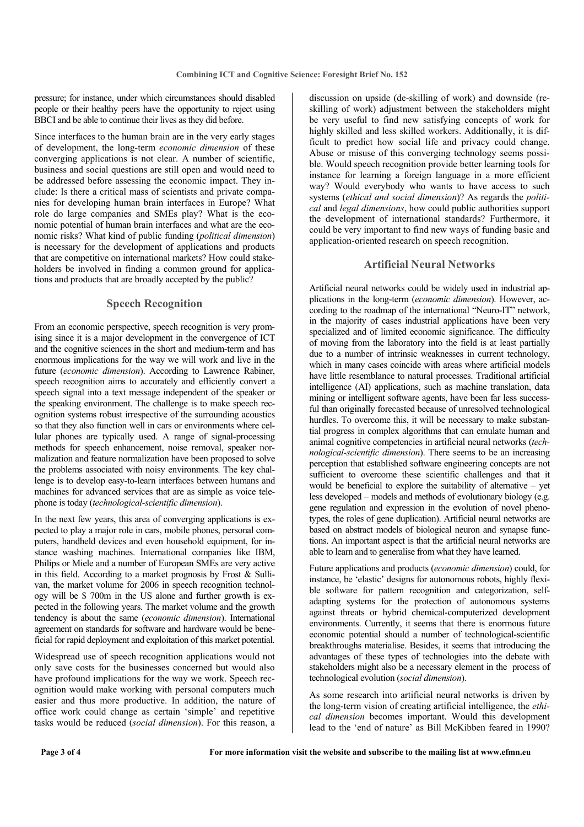pressure; for instance, under which circumstances should disabled people or their healthy peers have the opportunity to reject using BBCI and be able to continue their lives as they did before.

Since interfaces to the human brain are in the very early stages of development, the long-term *economic dimension* of these converging applications is not clear. A number of scientific, business and social questions are still open and would need to be addressed before assessing the economic impact. They include: Is there a critical mass of scientists and private companies for developing human brain interfaces in Europe? What role do large companies and SMEs play? What is the economic potential of human brain interfaces and what are the economic risks? What kind of public funding (*political dimension*) is necessary for the development of applications and products that are competitive on international markets? How could stakeholders be involved in finding a common ground for applications and products that are broadly accepted by the public?

#### **Speech Recognition**

From an economic perspective, speech recognition is very promising since it is a major development in the convergence of ICT and the cognitive sciences in the short and medium-term and has enormous implications for the way we will work and live in the future (*economic dimension*). According to Lawrence Rabiner, speech recognition aims to accurately and efficiently convert a speech signal into a text message independent of the speaker or the speaking environment. The challenge is to make speech recognition systems robust irrespective of the surrounding acoustics so that they also function well in cars or environments where cellular phones are typically used. A range of signal-processing methods for speech enhancement, noise removal, speaker normalization and feature normalization have been proposed to solve the problems associated with noisy environments. The key challenge is to develop easy-to-learn interfaces between humans and machines for advanced services that are as simple as voice telephone is today (*technological-scientific dimension*).

In the next few years, this area of converging applications is expected to play a major role in cars, mobile phones, personal computers, handheld devices and even household equipment, for instance washing machines. International companies like IBM, Philips or Miele and a number of European SMEs are very active in this field. According to a market prognosis by Frost & Sullivan, the market volume for 2006 in speech recognition technology will be \$ 700m in the US alone and further growth is expected in the following years. The market volume and the growth tendency is about the same (*economic dimension*). International agreement on standards for software and hardware would be beneficial for rapid deployment and exploitation of this market potential.

Widespread use of speech recognition applications would not only save costs for the businesses concerned but would also have profound implications for the way we work. Speech recognition would make working with personal computers much easier and thus more productive. In addition, the nature of office work could change as certain 'simple' and repetitive tasks would be reduced (*social dimension*). For this reason, a

discussion on upside (de-skilling of work) and downside (reskilling of work) adjustment between the stakeholders might be very useful to find new satisfying concepts of work for highly skilled and less skilled workers. Additionally, it is difficult to predict how social life and privacy could change. Abuse or misuse of this converging technology seems possible. Would speech recognition provide better learning tools for instance for learning a foreign language in a more efficient way? Would everybody who wants to have access to such systems (*ethical and social dimension*)? As regards the *political* and *legal dimensions*, how could public authorities support the development of international standards? Furthermore, it could be very important to find new ways of funding basic and application-oriented research on speech recognition.

#### **Artificial Neural Networks**

Artificial neural networks could be widely used in industrial applications in the long-term (*economic dimension*). However, according to the roadmap of the international "Neuro-IT" network, in the majority of cases industrial applications have been very specialized and of limited economic significance. The difficulty of moving from the laboratory into the field is at least partially due to a number of intrinsic weaknesses in current technology, which in many cases coincide with areas where artificial models have little resemblance to natural processes. Traditional artificial intelligence (AI) applications, such as machine translation, data mining or intelligent software agents, have been far less successful than originally forecasted because of unresolved technological hurdles. To overcome this, it will be necessary to make substantial progress in complex algorithms that can emulate human and animal cognitive competencies in artificial neural networks (*technological-scientific dimension*). There seems to be an increasing perception that established software engineering concepts are not sufficient to overcome these scientific challenges and that it would be beneficial to explore the suitability of alternative – yet less developed – models and methods of evolutionary biology (e.g. gene regulation and expression in the evolution of novel phenotypes, the roles of gene duplication). Artificial neural networks are based on abstract models of biological neuron and synapse functions. An important aspect is that the artificial neural networks are able to learn and to generalise from what they have learned.

Future applications and products (*economic dimension*) could, for instance, be 'elastic' designs for autonomous robots, highly flexible software for pattern recognition and categorization, selfadapting systems for the protection of autonomous systems against threats or hybrid chemical-computerized development environments. Currently, it seems that there is enormous future economic potential should a number of technological-scientific breakthroughs materialise. Besides, it seems that introducing the advantages of these types of technologies into the debate with stakeholders might also be a necessary element in the process of technological evolution (*social dimension*).

As some research into artificial neural networks is driven by the long-term vision of creating artificial intelligence, the *ethical dimension* becomes important. Would this development lead to the 'end of nature' as Bill McKibben feared in 1990?